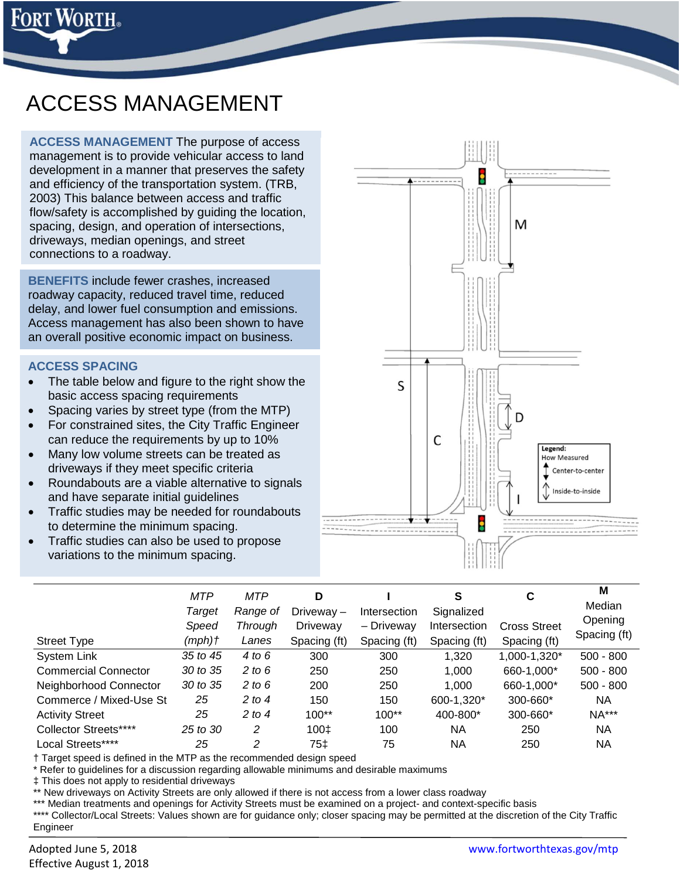

# ACCESS MANAGEMENT

**ACCESS MANAGEMENT** The purpose of access management is to provide vehicular access to land development in a manner that preserves the safety and efficiency of the transportation system. (TRB, 2003) This balance between access and traffic flow/safety is accomplished by guiding the location, spacing, design, and operation of intersections, driveways, median openings, and street connections to a roadway.

**BENEFITS** include fewer crashes, increased roadway capacity, reduced travel time, reduced delay, and lower fuel consumption and emissions. Access management has also been shown to have an overall positive economic impact on business.

#### **ACCESS SPACING**

- The table below and figure to the right show the basic access spacing requirements
- Spacing varies by street type (from the MTP)
- For constrained sites, the City Traffic Engineer can reduce the requirements by up to 10%
- Many low volume streets can be treated as driveways if they meet specific criteria
- Roundabouts are a viable alternative to signals and have separate initial guidelines
- Traffic studies may be needed for roundabouts to determine the minimum spacing.
- Traffic studies can also be used to propose variations to the minimum spacing.



|                              | <b>MTP</b><br>Target | <b>MTP</b><br>Range of | D<br>Driveway- | Intersection | S<br>Signalized | C                   | M<br>Median  |
|------------------------------|----------------------|------------------------|----------------|--------------|-----------------|---------------------|--------------|
|                              | Speed                | Through                | Driveway       | - Driveway   | Intersection    | <b>Cross Street</b> | Opening      |
| <b>Street Type</b>           | (mph)†               | Lanes                  | Spacing (ft)   | Spacing (ft) | Spacing (ft)    | Spacing (ft)        | Spacing (ft) |
| <b>System Link</b>           | 35 to 45             | 4 to 6                 | 300            | 300          | 1,320           | 1,000-1,320*        | $500 - 800$  |
| <b>Commercial Connector</b>  | 30 to 35             | 2 to 6                 | 250            | 250          | 1,000           | 660-1,000*          | $500 - 800$  |
| Neighborhood Connector       | 30 to 35             | 2 to $6$               | 200            | 250          | 1,000           | 660-1,000*          | $500 - 800$  |
| Commerce / Mixed-Use St      | 25                   | 2 to 4                 | 150            | 150          | 600-1,320*      | 300-660*            | NA           |
| <b>Activity Street</b>       | 25                   | 2 to 4                 | $100**$        | $100**$      | 400-800*        | 300-660*            | <b>NA***</b> |
| <b>Collector Streets****</b> | 25 to 30             | 2                      | 100‡           | 100          | ΝA              | 250                 | NA           |
| Local Streets****            | 25                   | 2                      | 75‡            | 75           | ΝA              | 250                 | ΝA           |

† Target speed is defined in the MTP as the recommended design speed

\* Refer to guidelines for a discussion regarding allowable minimums and desirable maximums

‡ This does not apply to residential driveways

New driveways on Activity Streets are only allowed if there is not access from a lower class roadway

Median treatments and openings for Activity Streets must be examined on a project- and context-specific basis

\*\*\*\* Collector/Local Streets: Values shown are for guidance only; closer spacing may be permitted at the discretion of the City Traffic Engineer